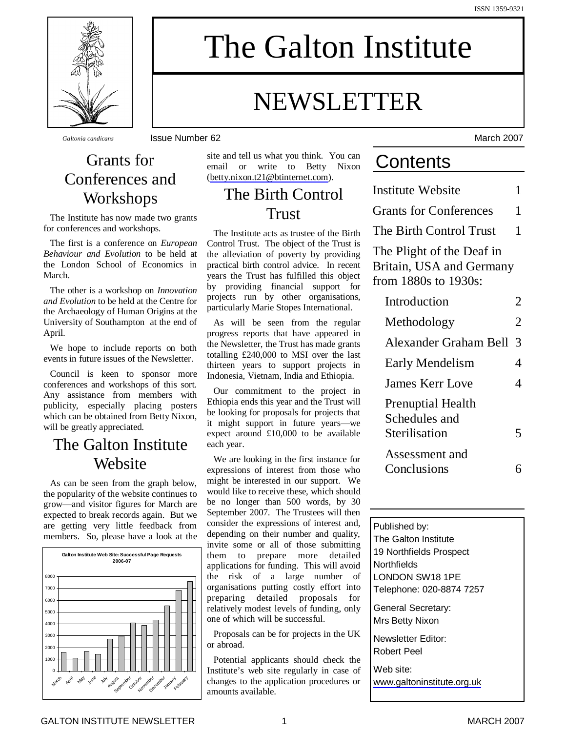The Galton Institute

# NEWSLETTER

*Galtonia candicans* Issue Number 62 March 2007

### Grants for Conferences and Workshops

The Institute has now made two grants for conferences and workshops.

The first is a conference on *European Behaviour and Evolution* to be held at the London School of Economics in March.

The other is a workshop on *Innovation and Evolution* to be held at the Centre for the Archaeology of Human Origins at the University of Southampton at the end of April.

We hope to include reports on both events in future issues of the Newsletter.

Council is keen to sponsor more conferences and workshops of this sort. Any assistance from members with publicity, especially placing posters which can be obtained from Betty Nixon, will be greatly appreciated.

### The Galton Institute **Website**

As can be seen from the graph below, the popularity of the website continues to grow— and visitor figures for March are expected to break records again. But we are getting very little feedback from members. So, please have a look at the



site and tell us what you think. You can email or write to Betty Nixon [\(betty.nixon.t21@btinternet.com](mailto:betty.nixon.t21@btinternet.com)).

### The Birth Control Trust

The Institute acts as trustee of the Birth Control Trust. The object of the Trust is the alleviation of poverty by providing practical birth control advice. In recent years the Trust has fulfilled this object by providing financial support for projects run by other organisations, particularly Marie Stopes International.

As will be seen from the regular progress reports that have appeared in the Newsletter, the Trust has made grants totalling £240,000 to MSI over the last thirteen years to support projects in Indonesia, Vietnam, India and Ethiopia.

Our commitment to the project in Ethiopia ends this year and the Trust will be looking for proposals for projects that it might support in future years— we expect around £10,000 to be available each year.

We are looking in the first instance for expressions of interest from those who might be interested in our support. We would like to receive these, which should be no longer than 500 words, by 30 September 2007. The Trustees will then consider the expressions of interest and, depending on their number and quality, invite some or all of those submitting them to prepare more detailed applications for funding. This will avoid the risk of a large number of organisations putting costly effort into preparing detailed proposals for relatively modest levels of funding, only one of which will be successful.

Proposals can be for projects in the UK or abroad.

Potential applicants should check the Institute's web site regularly in case of changes to the application procedures or amounts available.

## **Contents**

Institute Website 1 Grants for Conferences 1 The Birth Control Trust 1 The Plight of the Deaf in Britain, USA and Germany from 1880s to 1930s: Introduction 2 Methodology 2 Alexander Graham Bell 3 Early Mendelism 4 James Kerr Love 4 Prenuptial Health Schedules and Sterilisation 5

Assessment and Conclusions 6

Published by: The Galton Institute 19 Northfields Prospect **Northfields** LONDON SW18 1PE Telephone: 020-8874 7257 General Secretary: Mrs Betty Nixon Newsletter Editor: Robert Peel Web site: [www.galtoninstitute.org.uk](http://www.galtoninstitute.org.uk)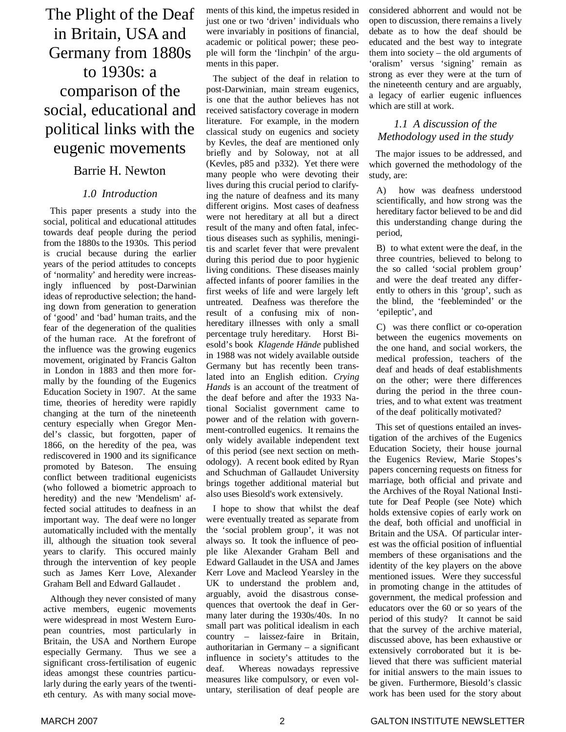### The Plight of the Deaf in Britain, USA and Germany from 1880s to 1930s: a comparison of the social, educational and political links with the eugenic movements

### Barrie H. Newton

#### *1.0 Introduction*

This paper presents a study into the social, political and educational attitudes towards deaf people during the period from the 1880s to the 1930s. This period is crucial because during the earlier years of the period attitudes to concepts of 'normality' and heredity were increasingly influenced by post-Darwinian ideas of reproductive selection; the handing down from generation to generation of 'good' and 'bad' human traits, and the fear of the degeneration of the qualities of the human race. At the forefront of the influence was the growing eugenics movement, originated by Francis Galton in London in 1883 and then more formally by the founding of the Eugenics Education Society in 1907. At the same time, theories of heredity were rapidly changing at the turn of the nineteenth century especially when Gregor Mendel's classic, but forgotten, paper of 1866, on the heredity of the pea, was rediscovered in 1900 and its significance promoted by Bateson. The ensuing conflict between traditional eugenicists (who followed a biometric approach to heredity) and the new 'Mendelism' affected social attitudes to deafness in an important way. The deaf were no longer automatically included with the mentally ill, although the situation took several years to clarify. This occured mainly through the intervention of key people such as James Kerr Love, Alexander Graham Bell and Edward Gallaudet .

Although they never consisted of many active members, eugenic movements were widespread in most Western European countries, most particularly in Britain, the USA and Northern Europe especially Germany. Thus we see a significant cross-fertilisation of eugenic ideas amongst these countries particularly during the early years of the twentieth century. As with many social movements of this kind, the impetus resided in just one or two 'driven' individuals who were invariably in positions of financial, academic or political power; these people will form the 'linchpin' of the arguments in this paper.

The subject of the deaf in relation to post-Darwinian, main stream eugenics, is one that the author believes has not received satisfactory coverage in modern literature. For example, in the modern classical study on eugenics and society by Kevles, the deaf are mentioned only briefly and by Soloway, not at all (Kevles, p85 and p332). Yet there were many people who were devoting their lives during this crucial period to clarifying the nature of deafness and its many different origins. Most cases of deafness were not hereditary at all but a direct result of the many and often fatal, infectious diseases such as syphilis, meningitis and scarlet fever that were prevalent during this period due to poor hygienic living conditions. These diseases mainly affected infants of poorer families in the first weeks of life and were largely left untreated. Deafness was therefore the result of a confusing mix of nonhereditary illnesses with only a small percentage truly hereditary. Horst Biesold's book *Klagende Hände* published in 1988 was not widely available outside Germany but has recently been translated into an English edition. *Crying Hands* is an account of the treatment of the deaf before and after the 1933 National Socialist government came to power and of the relation with government-controlled eugenics. It remains the only widely available independent text of this period (see next section on methodology). A recent book edited by Ryan and Schuchman of Gallaudet University brings together additional material but also uses Biesold's work extensively.

I hope to show that whilst the deaf were eventually treated as separate from the 'social problem group', it was not always so. It took the influence of people like Alexander Graham Bell and Edward Gallaudet in the USA and James Kerr Love and Macleod Yearsley in the UK to understand the problem and, arguably, avoid the disastrous consequences that overtook the deaf in Germany later during the 1930s/40s. In no small part was political idealism in each country – laissez-faire in Britain, authoritarian in Germany – a significant influence in society's attitudes to the deaf. Whereas nowadays repressive measures like compulsory, or even voluntary, sterilisation of deaf people are

considered abhorrent and would not be open to discussion, there remains a lively debate as to how the deaf should be educated and the best way to integrate them into society – the old arguments of 'oralism' versus 'signing' remain as strong as ever they were at the turn of the nineteenth century and are arguably, a legacy of earlier eugenic influences which are still at work.

#### *1.1 A discussion of the Methodology used in the study*

The major issues to be addressed, and which governed the methodology of the study, are:

A) how was deafness understood scientifically, and how strong was the hereditary factor believed to be and did this understanding change during the period,

B) to what extent were the deaf, in the three countries, believed to belong to the so called 'social problem group' and were the deaf treated any differently to others in this 'group', such as the blind, the 'feebleminded' or the 'epileptic', and

C) was there conflict or co-operation between the eugenics movements on the one hand, and social workers, the medical profession, teachers of the deaf and heads of deaf establishments on the other; were there differences during the period in the three countries, and to what extent was treatment of the deaf politically motivated?

This set of questions entailed an investigation of the archives of the Eugenics Education Society, their house journal the Eugenics Review, Marie Stopes's papers concerning requests on fitness for marriage, both official and private and the Archives of the Royal National Institute for Deaf People (see Note) which holds extensive copies of early work on the deaf, both official and unofficial in Britain and the USA. Of particular interest was the official position of influential members of these organisations and the identity of the key players on the above mentioned issues. Were they successful in promoting change in the attitudes of government, the medical profession and educators over the 60 or so years of the period of this study? It cannot be said that the survey of the archive material, discussed above, has been exhaustive or extensively corroborated but it is believed that there was sufficient material for initial answers to the main issues to be given. Furthermore, Biesold's classic work has been used for the story about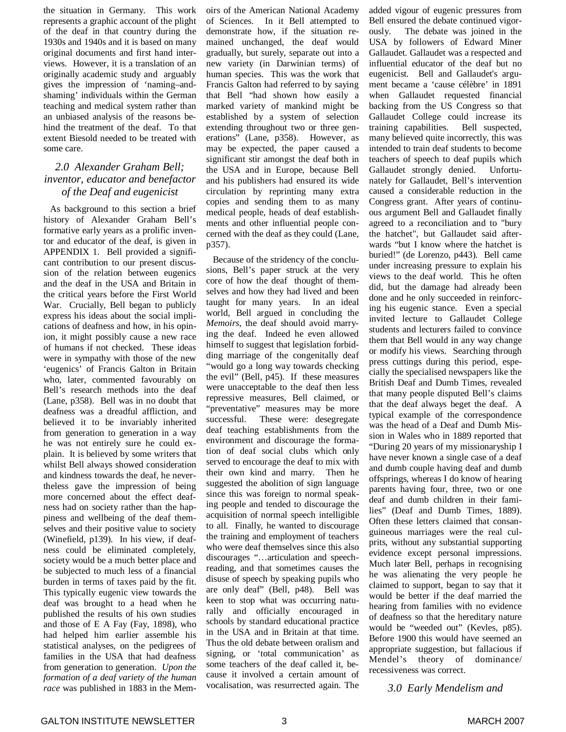the situation in Germany. This work represents a graphic account of the plight of the deaf in that country during the 1930s and 1940s and it is based on many original documents and first hand interviews. However, it is a translation of an originally academic study and arguably gives the impression of 'naming–andshaming' individuals within the German teaching and medical system rather than an unbiased analysis of the reasons behind the treatment of the deaf. To that extent Biesold needed to be treated with some care.

#### *2.0 Alexander Graham Bell; inventor, educator and benefactor of the Deaf and eugenicist*

As background to this section a brief history of Alexander Graham Bell's formative early years as a prolific inventor and educator of the deaf, is given in APPENDIX 1. Bell provided a significant contribution to our present discussion of the relation between eugenics and the deaf in the USA and Britain in the critical years before the First World War. Crucially, Bell began to publicly express his ideas about the social implications of deafness and how, in his opinion, it might possibly cause a new race of humans if not checked. These ideas were in sympathy with those of the new 'eugenics' of Francis Galton in Britain who, later, commented favourably on Bell's research methods into the deaf (Lane, p358). Bell was in no doubt that deafness was a dreadful affliction, and believed it to be invariably inherited from generation to generation in a way he was not entirely sure he could explain. It is believed by some writers that whilst Bell always showed consideration and kindness towards the deaf, he nevertheless gave the impression of being more concerned about the effect deafness had on society rather than the happiness and wellbeing of the deaf themselves and their positive value to society (Winefield, p139). In his view, if deafness could be eliminated completely, society would be a much better place and be subjected to much less of a financial burden in terms of taxes paid by the fit. This typically eugenic view towards the deaf was brought to a head when he published the results of his own studies and those of E A Fay (Fay, 1898), who had helped him earlier assemble his statistical analyses, on the pedigrees of families in the USA that had deafness from generation to generation. *Upon the formation of a deaf variety of the human race* was published in 1883 in the Memoirs of the American National Academy of Sciences. In it Bell attempted to demonstrate how, if the situation remained unchanged, the deaf would gradually, but surely, separate out into a new variety (in Darwinian terms) of human species. This was the work that Francis Galton had referred to by saying that Bell "had shown how easily a marked variety of mankind might be established by a system of selection extending throughout two or three generations" (Lane, p358). However, as may be expected, the paper caused a significant stir amongst the deaf both in the USA and in Europe, because Bell and his publishers had ensured its wide circulation by reprinting many extra copies and sending them to as many medical people, heads of deaf establishments and other influential people concerned with the deaf as they could (Lane, p357).

Because of the stridency of the conclusions, Bell's paper struck at the very core of how the deaf thought of themselves and how they had lived and been taught for many years. In an ideal world, Bell argued in concluding the *Memoirs*, the deaf should avoid marrying the deaf. Indeed he even allowed himself to suggest that legislation forbidding marriage of the congenitally deaf "would go a long way towards checking the evil" (Bell, p45). If these measures were unacceptable to the deaf then less repressive measures, Bell claimed, or "preventative" measures may be more successful. These were: desegregate deaf teaching establishments from the environment and discourage the formation of deaf social clubs which only served to encourage the deaf to mix with their own kind and marry. Then he suggested the abolition of sign language since this was foreign to normal speaking people and tended to discourage the acquisition of normal speech intelligible to all. Finally, he wanted to discourage the training and employment of teachers who were deaf themselves since this also discourages "… articulation and speechreading, and that sometimes causes the disuse of speech by speaking pupils who are only deaf" (Bell, p48). Bell was keen to stop what was occurring naturally and officially encouraged in schools by standard educational practice in the USA and in Britain at that time. Thus the old debate between oralism and signing, or 'total communication' as some teachers of the deaf called it, because it involved a certain amount of vocalisation, was resurrected again. The

added vigour of eugenic pressures from Bell ensured the debate continued vigorously. The debate was joined in the USA by followers of Edward Miner Gallaudet. Gallaudet was a respected and influential educator of the deaf but no eugenicist. Bell and Gallaudet's argument became a 'cause célèbre' in 1891 when Gallaudet requested financial backing from the US Congress so that Gallaudet College could increase its training capabilities. Bell suspected, many believed quite incorrectly, this was intended to train deaf students to become teachers of speech to deaf pupils which Gallaudet strongly denied. Unfortunately for Gallaudet, Bell's intervention caused a considerable reduction in the Congress grant. After years of continuous argument Bell and Gallaudet finally agreed to a reconciliation and to "bury the hatchet", but Gallaudet said afterwards "but I know where the hatchet is buried!" (de Lorenzo, p443). Bell came under increasing pressure to explain his views to the deaf world. This he often did, but the damage had already been done and he only succeeded in reinforcing his eugenic stance. Even a special invited lecture to Gallaudet College students and lecturers failed to convince them that Bell would in any way change or modify his views. Searching through press cuttings during this period, especially the specialised newspapers like the British Deaf and Dumb Times, revealed that many people disputed Bell's claims that the deaf always beget the deaf. A typical example of the correspondence was the head of a Deaf and Dumb Mission in Wales who in 1889 reported that "During 20 years of my missionaryship I have never known a single case of a deaf and dumb couple having deaf and dumb offsprings, whereas I do know of hearing parents having four, three, two or one deaf and dumb children in their families" (Deaf and Dumb Times, 1889). Often these letters claimed that consanguineous marriages were the real culprits, without any substantial supporting evidence except personal impressions. Much later Bell, perhaps in recognising he was alienating the very people he claimed to support, began to say that it would be better if the deaf married the hearing from families with no evidence of deafness so that the hereditary nature would be "weeded out" (Kevles, p85). Before 1900 this would have seemed an appropriate suggestion, but fallacious if Mendel's theory of dominance/ recessiveness was correct.

*3.0 Early Mendelism and*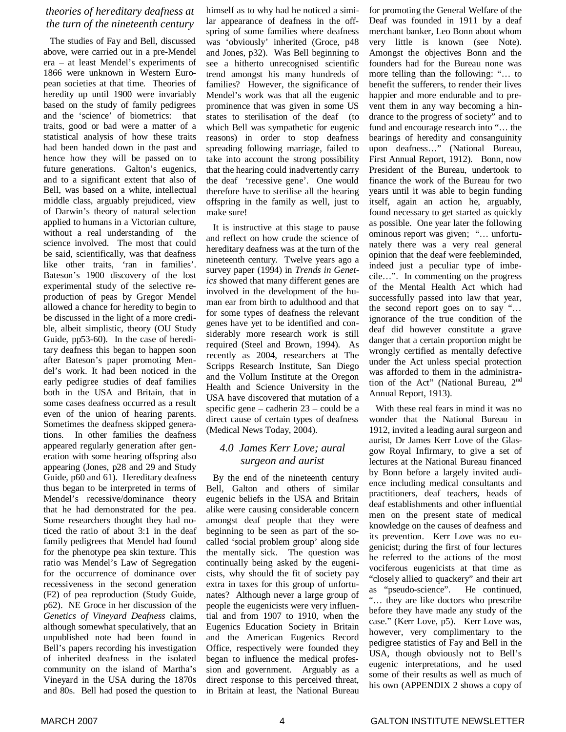#### *theories of hereditary deafness at the turn of the nineteenth century*

The studies of Fay and Bell, discussed above, were carried out in a pre-Mendel era – at least Mendel's experiments of 1866 were unknown in Western European societies at that time. Theories of heredity up until 1900 were invariably based on the study of family pedigrees and the 'science' of biometrics: that traits, good or bad were a matter of a statistical analysis of how these traits had been handed down in the past and hence how they will be passed on to future generations. Galton's eugenics, and to a significant extent that also of Bell, was based on a white, intellectual middle class, arguably prejudiced, view of Darwin's theory of natural selection applied to humans in a Victorian culture, without a real understanding of the science involved. The most that could be said, scientifically, was that deafness like other traits, 'ran in families'. Bateson's 1900 discovery of the lost experimental study of the selective reproduction of peas by Gregor Mendel allowed a chance for heredity to begin to be discussed in the light of a more credible, albeit simplistic, theory (OU Study Guide, pp53-60). In the case of hereditary deafness this began to happen soon after Bateson's paper promoting Mendel's work. It had been noticed in the early pedigree studies of deaf families both in the USA and Britain, that in some cases deafness occurred as a result even of the union of hearing parents. Sometimes the deafness skipped generations. In other families the deafness appeared regularly generation after generation with some hearing offspring also appearing (Jones, p28 and 29 and Study Guide, p60 and 61). Hereditary deafness thus began to be interpreted in terms of Mendel's recessive/dominance theory that he had demonstrated for the pea. Some researchers thought they had noticed the ratio of about 3:1 in the deaf family pedigrees that Mendel had found for the phenotype pea skin texture. This ratio was Mendel's Law of Segregation for the occurrence of dominance over recessiveness in the second generation (F2) of pea reproduction (Study Guide, p62). NE Groce in her discussion of the *Genetics of Vineyard Deafness* claims, although somewhat speculatively, that an unpublished note had been found in Bell's papers recording his investigation of inherited deafness in the isolated community on the island of Martha's Vineyard in the USA during the 1870s and 80s. Bell had posed the question to

himself as to why had he noticed a similar appearance of deafness in the offspring of some families where deafness was 'obviously' inherited (Groce, p48 and Jones, p32). Was Bell beginning to see a hitherto unrecognised scientific trend amongst his many hundreds of families? However, the significance of Mendel's work was that all the eugenic prominence that was given in some US states to sterilisation of the deaf (to which Bell was sympathetic for eugenic reasons) in order to stop deafness spreading following marriage, failed to take into account the strong possibility that the hearing could inadvertently carry the deaf 'recessive gene'. One would therefore have to sterilise all the hearing offspring in the family as well, just to make sure!

It is instructive at this stage to pause and reflect on how crude the science of hereditary deafness was at the turn of the nineteenth century. Twelve years ago a survey paper (1994) in *Trends in Genetics* showed that many different genes are involved in the development of the human ear from birth to adulthood and that for some types of deafness the relevant genes have yet to be identified and considerably more research work is still required (Steel and Brown, 1994). As recently as 2004, researchers at The Scripps Research Institute, San Diego and the Vollum Institute at the Oregon Health and Science University in the USA have discovered that mutation of a specific gene – cadherin 23 – could be a direct cause of certain types of deafness (Medical News Today, 2004).

#### *4.0 James Kerr Love; aural surgeon and aurist*

By the end of the nineteenth century Bell, Galton and others of similar eugenic beliefs in the USA and Britain alike were causing considerable concern amongst deaf people that they were beginning to be seen as part of the socalled 'social problem group' along side the mentally sick. The question was continually being asked by the eugenicists, why should the fit of society pay extra in taxes for this group of unfortunates? Although never a large group of people the eugenicists were very influential and from 1907 to 1910, when the Eugenics Education Society in Britain and the American Eugenics Record Office, respectively were founded they began to influence the medical profession and government. Arguably as a direct response to this perceived threat, in Britain at least, the National Bureau

for promoting the General Welfare of the Deaf was founded in 1911 by a deaf merchant banker, Leo Bonn about whom very little is known (see Note). Amongst the objectives Bonn and the founders had for the Bureau none was more telling than the following: "… to benefit the sufferers, to render their lives happier and more endurable and to prevent them in any way becoming a hindrance to the progress of society" and to fund and encourage research into "… the bearings of heredity and consanguinity upon deafness..." (National Bureau, First Annual Report, 1912). Bonn, now President of the Bureau, undertook to finance the work of the Bureau for two years until it was able to begin funding itself, again an action he, arguably, found necessary to get started as quickly as possible. One year later the following ominous report was given; "… unfortunately there was a very real general opinion that the deaf were feebleminded, indeed just a peculiar type of imbecile… ". In commenting on the progress of the Mental Health Act which had successfully passed into law that year, the second report goes on to say "… ignorance of the true condition of the deaf did however constitute a grave danger that a certain proportion might be wrongly certified as mentally defective under the Act unless special protection was afforded to them in the administration of the Act" (National Bureau, 2nd Annual Report, 1913).

With these real fears in mind it was no wonder that the National Bureau in 1912, invited a leading aural surgeon and aurist, Dr James Kerr Love of the Glasgow Royal Infirmary, to give a set of lectures at the National Bureau financed by Bonn before a largely invited audience including medical consultants and practitioners, deaf teachers, heads of deaf establishments and other influential men on the present state of medical knowledge on the causes of deafness and its prevention. Kerr Love was no eugenicist; during the first of four lectures he referred to the actions of the most vociferous eugenicists at that time as "closely allied to quackery" and their art as "pseudo-science". He continued, "… they are like doctors who prescribe before they have made any study of the case." (Kerr Love, p5). Kerr Love was, however, very complimentary to the pedigree statistics of Fay and Bell in the USA, though obviously not to Bell's eugenic interpretations, and he used some of their results as well as much of his own (APPENDIX 2 shows a copy of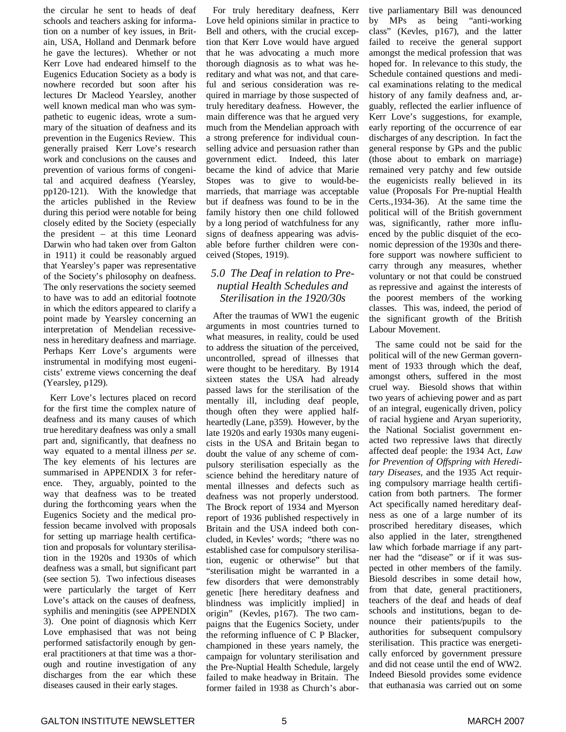the circular he sent to heads of deaf schools and teachers asking for information on a number of key issues, in Britain, USA, Holland and Denmark before he gave the lectures). Whether or not Kerr Love had endeared himself to the Eugenics Education Society as a body is nowhere recorded but soon after his lectures Dr Macleod Yearsley, another well known medical man who was sympathetic to eugenic ideas, wrote a summary of the situation of deafness and its prevention in the Eugenics Review. This generally praised Kerr Love's research work and conclusions on the causes and prevention of various forms of congenital and acquired deafness (Yearsley, pp120-121). With the knowledge that the articles published in the Review during this period were notable for being closely edited by the Society (especially the president – at this time Leonard Darwin who had taken over from Galton in 1911) it could be reasonably argued that Yearsley's paper was representative of the Society's philosophy on deafness. The only reservations the society seemed to have was to add an editorial footnote in which the editors appeared to clarify a point made by Yearsley concerning an interpretation of Mendelian recessiveness in hereditary deafness and marriage. Perhaps Kerr Love's arguments were instrumental in modifying most eugenicists' extreme views concerning the deaf (Yearsley, p129).

Kerr Love's lectures placed on record for the first time the complex nature of deafness and its many causes of which true hereditary deafness was only a small part and, significantly, that deafness no way equated to a mental illness *per se*. The key elements of his lectures are summarised in APPENDIX 3 for reference. They, arguably, pointed to the way that deafness was to be treated during the forthcoming years when the Eugenics Society and the medical profession became involved with proposals for setting up marriage health certification and proposals for voluntary sterilisation in the 1920s and 1930s of which deafness was a small, but significant part (see section 5). Two infectious diseases were particularly the target of Kerr Love's attack on the causes of deafness, syphilis and meningitis (see APPENDIX 3). One point of diagnosis which Kerr Love emphasised that was not being performed satisfactorily enough by general practitioners at that time was a thorough and routine investigation of any discharges from the ear which these diseases caused in their early stages.

For truly hereditary deafness, Kerr Love held opinions similar in practice to Bell and others, with the crucial exception that Kerr Love would have argued that he was advocating a much more thorough diagnosis as to what was hereditary and what was not, and that careful and serious consideration was required in marriage by those suspected of truly hereditary deafness. However, the main difference was that he argued very much from the Mendelian approach with a strong preference for individual counselling advice and persuasion rather than government edict. Indeed, this later became the kind of advice that Marie Stopes was to give to would-bemarrieds, that marriage was acceptable but if deafness was found to be in the family history then one child followed by a long period of watchfulness for any signs of deafness appearing was advisable before further children were conceived (Stopes, 1919).

#### *5.0 The Deaf in relation to Prenuptial Health Schedules and Sterilisation in the 1920/30s*

After the traumas of WW1 the eugenic arguments in most countries turned to what measures, in reality, could be used to address the situation of the perceived, uncontrolled, spread of illnesses that were thought to be hereditary. By 1914 sixteen states the USA had already passed laws for the sterilisation of the mentally ill, including deaf people, though often they were applied halfheartedly (Lane, p359). However, by the late 1920s and early 1930s many eugenicists in the USA and Britain began to doubt the value of any scheme of compulsory sterilisation especially as the science behind the hereditary nature of mental illnesses and defects such as deafness was not properly understood. The Brock report of 1934 and Myerson report of 1936 published respectively in Britain and the USA indeed both concluded, in Kevles' words; "there was no established case for compulsory sterilisation, eugenic or otherwise" but that "sterilisation might be warranted in a few disorders that were demonstrably genetic [here hereditary deafness and blindness was implicitly implied] in origin" (Kevles, p167). The two campaigns that the Eugenics Society, under the reforming influence of C P Blacker, championed in these years namely, the campaign for voluntary sterilisation and the Pre-Nuptial Health Schedule, largely failed to make headway in Britain. The former failed in 1938 as Church's abortive parliamentary Bill was denounced by MPs as being "anti-working class" (Kevles, p167), and the latter failed to receive the general support amongst the medical profession that was hoped for. In relevance to this study, the Schedule contained questions and medical examinations relating to the medical history of any family deafness and, arguably, reflected the earlier influence of Kerr Love's suggestions, for example, early reporting of the occurrence of ear discharges of any description. In fact the general response by GPs and the public (those about to embark on marriage) remained very patchy and few outside the eugenicists really believed in its value (Proposals For Pre-nuptial Health Certs.,1934-36). At the same time the political will of the British government was, significantly, rather more influenced by the public disquiet of the economic depression of the 1930s and therefore support was nowhere sufficient to carry through any measures, whether voluntary or not that could be construed as repressive and against the interests of the poorest members of the working classes. This was, indeed, the period of the significant growth of the British Labour Movement.

The same could not be said for the political will of the new German government of 1933 through which the deaf, amongst others, suffered in the most cruel way. Biesold shows that within two years of achieving power and as part of an integral, eugenically driven, policy of racial hygiene and Aryan superiority, the National Socialist government enacted two repressive laws that directly affected deaf people: the 1934 Act, *Law for Prevention of Offspring with Hereditary Diseases*, and the 1935 Act requiring compulsory marriage health certification from both partners. The former Act specifically named hereditary deafness as one of a large number of its proscribed hereditary diseases, which also applied in the later, strengthened law which forbade marriage if any partner had the "disease" or if it was suspected in other members of the family. Biesold describes in some detail how, from that date, general practitioners, teachers of the deaf and heads of deaf schools and institutions, began to denounce their patients/pupils to the authorities for subsequent compulsory sterilisation. This practice was energetically enforced by government pressure and did not cease until the end of WW2. Indeed Biesold provides some evidence that euthanasia was carried out on some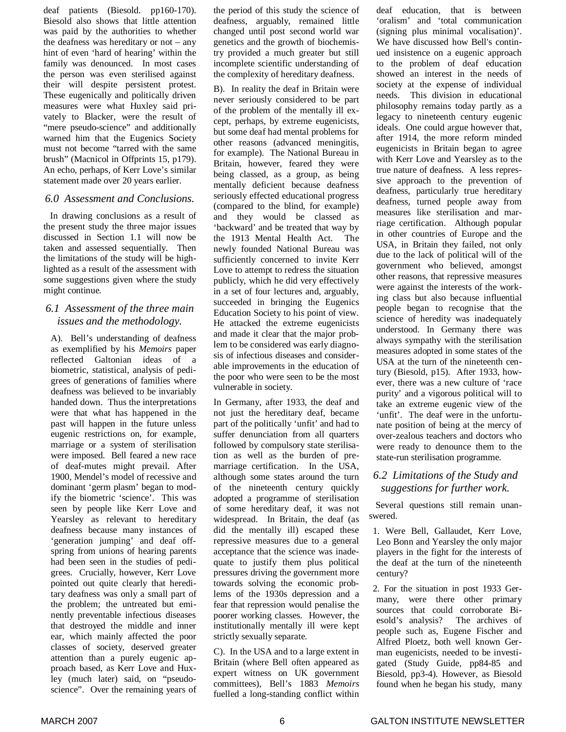deaf patients (Biesold. pp160-170). Biesold also shows that little attention was paid by the authorities to whether the deafness was hereditary or not – any hint of even 'hard of hearing' within the family was denounced. In most cases the person was even sterilised against their will despite persistent protest. These eugenically and politically driven measures were what Huxley said privately to Blacker, were the result of "mere pseudo-science" and additionally warned him that the Eugenics Society must not become "tarred with the same brush" (Macnicol in Offprints 15, p179). An echo, perhaps, of Kerr Love's similar statement made over 20 years earlier.

#### *6.0 Assessment and Conclusions.*

In drawing conclusions as a result of the present study the three major issues discussed in Section 1.1 will now be taken and assessed sequentially. Then the limitations of the study will be highlighted as a result of the assessment with some suggestions given where the study might continue.

#### *6.1 Assessment of the three main issues and the methodology.*

A). Bell's understanding of deafness as exemplified by his *Memoirs* paper reflected Galtonian ideas of a biometric, statistical, analysis of pedigrees of generations of families where deafness was believed to be invariably handed down. Thus the interpretations were that what has happened in the past will happen in the future unless eugenic restrictions on, for example, marriage or a system of sterilisation were imposed. Bell feared a new race of deaf-mutes might prevail. After 1900, Mendel's model of recessive and dominant 'germ plasm' began to modify the biometric 'science'. This was seen by people like Kerr Love and Yearsley as relevant to hereditary deafness because many instances of 'generation jumping' and deaf offspring from unions of hearing parents had been seen in the studies of pedigrees. Crucially, however, Kerr Love pointed out quite clearly that hereditary deafness was only a small part of the problem; the untreated but eminently preventable infectious diseases that destroyed the middle and inner ear, which mainly affected the poor classes of society, deserved greater attention than a purely eugenic approach based, as Kerr Love and Huxley (much later) said, on "pseudoscience". Over the remaining years of

the period of this study the science of deafness, arguably, remained little changed until post second world war genetics and the growth of biochemistry provided a much greater but still incomplete scientific understanding of the complexity of hereditary deafness.

B). In reality the deaf in Britain were never seriously considered to be part of the problem of the mentally ill except, perhaps, by extreme eugenicists, but some deaf had mental problems for other reasons (advanced meningitis, for example). The National Bureau in Britain, however, feared they were being classed, as a group, as being mentally deficient because deafness seriously effected educational progress (compared to the blind, for example) and they would be classed as 'backward' and be treated that way by the 1913 Mental Health Act. The newly founded National Bureau was sufficiently concerned to invite Kerr Love to attempt to redress the situation publicly, which he did very effectively in a set of four lectures and, arguably, succeeded in bringing the Eugenics Education Society to his point of view. He attacked the extreme eugenicists and made it clear that the major problem to be considered was early diagnosis of infectious diseases and considerable improvements in the education of the poor who were seen to be the most vulnerable in society.

In Germany, after 1933, the deaf and not just the hereditary deaf, became part of the politically 'unfit' and had to suffer denunciation from all quarters followed by compulsory state sterilisation as well as the burden of premarriage certification. In the USA, although some states around the turn of the nineteenth century quickly adopted a programme of sterilisation of some hereditary deaf, it was not widespread. In Britain, the deaf (as did the mentally ill) escaped these repressive measures due to a general acceptance that the science was inadequate to justify them plus political pressures driving the government more towards solving the economic problems of the 1930s depression and a fear that repression would penalise the poorer working classes. However, the institutionally mentally ill were kept strictly sexually separate.

C). In the USA and to a large extent in Britain (where Bell often appeared as expert witness on UK government committees), Bell's 1883 *Memoirs* fuelled a long-standing conflict within deaf education, that is between 'oralism' and 'total communication (signing plus minimal vocalisation)'. We have discussed how Bell's continued insistence on a eugenic approach to the problem of deaf education showed an interest in the needs of society at the expense of individual needs. This division in educational philosophy remains today partly as a legacy to nineteenth century eugenic ideals. One could argue however that, after 1914, the more reform minded eugenicists in Britain began to agree with Kerr Love and Yearsley as to the true nature of deafness. A less repressive approach to the prevention of deafness, particularly true hereditary deafness, turned people away from measures like sterilisation and marriage certification. Although popular in other countries of Europe and the USA, in Britain they failed, not only due to the lack of political will of the government who believed, amongst other reasons, that repressive measures were against the interests of the working class but also because influential people began to recognise that the science of heredity was inadequately understood. In Germany there was always sympathy with the sterilisation measures adopted in some states of the USA at the turn of the nineteenth century (Biesold, p15). After 1933, however, there was a new culture of 'race purity' and a vigorous political will to take an extreme eugenic view of the 'unfit'. The deaf were in the unfortunate position of being at the mercy of over-zealous teachers and doctors who were ready to denounce them to the state-run sterilisation programme.

#### *6.2 Limitations of the Study and suggestions for further work.*

Several questions still remain unanswered.

- 1. Were Bell, Gallaudet, Kerr Love, Leo Bonn and Yearsley the only major players in the fight for the interests of the deaf at the turn of the nineteenth century?
- 2. For the situation in post 1933 Germany, were there other primary sources that could corroborate Biesold's analysis? The archives of people such as, Eugene Fischer and Alfred Ploetz, both well known German eugenicists, needed to be investigated (Study Guide, pp84-85 and Biesold, pp3-4). However, as Biesold found when he began his study, many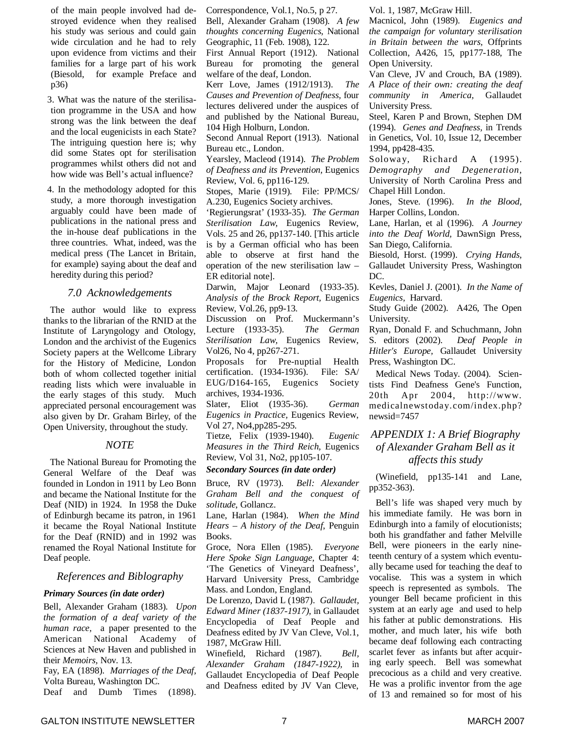of the main people involved had destroyed evidence when they realised his study was serious and could gain wide circulation and he had to rely upon evidence from victims and their families for a large part of his work (Biesold, for example Preface and p36)

3. What was the nature of the sterilisation programme in the USA and how strong was the link between the deaf and the local eugenicists in each State? The intriguing question here is; why did some States opt for sterilisation programmes whilst others did not and how wide was Bell's actual influence?

4. In the methodology adopted for this study, a more thorough investigation arguably could have been made of publications in the national press and the in-house deaf publications in the three countries. What, indeed, was the medical press (The Lancet in Britain, for example) saying about the deaf and heredity during this period?

#### *7.0 Acknowledgements*

The author would like to express thanks to the librarian of the RNID at the Institute of Laryngology and Otology, London and the archivist of the Eugenics Society papers at the Wellcome Library for the History of Medicine, London both of whom collected together initial reading lists which were invaluable in the early stages of this study. Much appreciated personal encouragement was also given by Dr. Graham Birley, of the Open University, throughout the study.

#### *NOTE*

The National Bureau for Promoting the General Welfare of the Deaf was founded in London in 1911 by Leo Bonn and became the National Institute for the Deaf (NID) in 1924. In 1958 the Duke of Edinburgh became its patron, in 1961 it became the Royal National Institute for the Deaf (RNID) and in 1992 was renamed the Royal National Institute for Deaf people.

#### *References and Biblography*

#### *Primary Sources (in date order)*

Bell, Alexander Graham (1883). *Upon the formation of a deaf variety of the human race,* a paper presented to the American National Academy of Sciences at New Haven and published in their *Memoirs,* Nov. 13.

Fay, EA (1898). *Marriages of the Deaf,* Volta Bureau, Washington DC.

Deaf and Dumb Times (1898).

Correspondence, Vol.1, No.5, p 27. Bell, Alexander Graham (1908). *A few*

*thoughts concerning Eugenics,* National Geographic, 11 (Feb. 1908), 122. First Annual Report (1912). National Bureau for promoting the general

welfare of the deaf, London. Kerr Love, James (1912/1913). *The Causes and Prevention of Deafness,* four lectures delivered under the auspices of and published by the National Bureau, 104 High Holburn, London.

Second Annual Report (1913). National Bureau etc., London.

Yearsley, Macleod (1914). *The Problem of Deafness and its Prevention,* Eugenics Review, Vol. 6, pp116-129.

Stopes, Marie (1919). File: PP/MCS/ A.230, Eugenics Society archives.

'Regierungsrat' (1933-35). *The German Sterilisation Law,* Eugenics Review, Vols. 25 and 26, pp137-140. [This article is by a German official who has been able to observe at first hand the operation of the new sterilisation law – ER editorial note].

Darwin, Major Leonard (1933-35). *Analysis of the Brock Report,* Eugenics Review, Vol.26, pp9-13.

Discussion on Prof. Muckermann's Lecture (1933-35). *The German Sterilisation Law,* Eugenics Review, Vol26, No 4, pp267-271.

Proposals for Pre-nuptial Health certification. (1934-1936). File: SA/ EUG/D164-165, Eugenics Society archives, 1934-1936.

Slater, Eliot (1935-36). *German Eugenics in Practice,* Eugenics Review, Vol 27, No4,pp285-295.

Tietze, Felix (1939-1940). *Eugenic Measures in the Third Reich,* Eugenics Review, Vol 31, No2, pp105-107.

#### *Secondary Sources (in date order)*

Bruce, RV (1973). *Bell: Alexander Graham Bell and the conquest of solitude*, Gollancz.

Lane, Harlan (1984). *When the Mind Hears – A history of the Deaf*, Penguin Books.

Groce, Nora Ellen (1985). *Everyone Here Spoke Sign Language,* Chapter 4: 'The Genetics of Vineyard Deafness', Harvard University Press, Cambridge Mass. and London, England.

De Lorenzo, David L (1987). *Gallaudet, Edward Miner (1837-1917),* in Gallaudet Encyclopedia of Deaf People and Deafness edited by JV Van Cleve, Vol.1, 1987, McGraw Hill.

Winefield, Richard (1987). *Bell, Alexander Graham (1847-1922),* in Gallaudet Encyclopedia of Deaf People and Deafness edited by JV Van Cleve,

Vol. 1, 1987, McGraw Hill.

Macnicol, John (1989). *Eugenics and the campaign for voluntary sterilisation in Britain between the wars,* Offprints Collection, A426, 15, pp177-188, The Open University.

Van Cleve, JV and Crouch, BA (1989). *A Place of their own: creating the deaf community in America,* Gallaudet University Press.

Steel, Karen P and Brown, Stephen DM (1994). *Genes and Deafness,* in Trends in Genetics, Vol. 10, Issue 12, December 1994, pp428-435.

Soloway, Richard A (1995). *Demography and Degeneration,* University of North Carolina Press and Chapel Hill London.

Jones, Steve. (1996). *In the Blood,* Harper Collins, London.

Lane, Harlan, et al (1996). *A Journey into the Deaf World,* DawnSign Press, San Diego, California.

Biesold, Horst. (1999). *Crying Hands,* Gallaudet University Press, Washington DC.

Kevles, Daniel J. (2001). *In the Name of Eugenics,* Harvard.

Study Guide (2002). A426, The Open University.

Ryan, Donald F. and Schuchmann, John S. editors (2002). *Deaf People in Hitler's Europe,* Gallaudet University Press, Washington DC.

Medical News Today. (2004). Scientists Find Deafness Gene's Function, 20th Apr 2004, http://www. medicalnewstoday.com/index.php? newsid=7457

#### *APPENDIX 1: A Brief Biography of Alexander Graham Bell as it affects this study*

(Winefield, pp135-141 and Lane, pp352-363).

Bell's life was shaped very much by his immediate family. He was born in Edinburgh into a family of elocutionists; both his grandfather and father Melville Bell, were pioneers in the early nineteenth century of a system which eventually became used for teaching the deaf to vocalise. This was a system in which speech is represented as symbols. The younger Bell became proficient in this system at an early age and used to help his father at public demonstrations. His mother, and much later, his wife both became deaf following each contracting scarlet fever as infants but after acquiring early speech. Bell was somewhat precocious as a child and very creative. He was a prolific inventor from the age of 13 and remained so for most of his